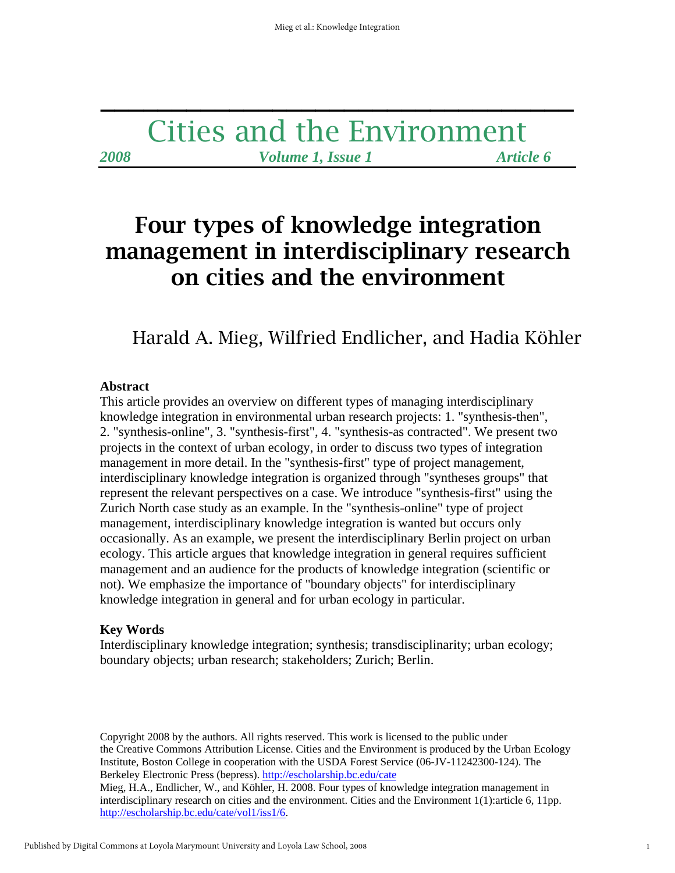# Cities and the Environment *2008 Volume 1, Issue 1 Article 6*

**\_\_\_\_\_\_\_\_\_\_\_\_\_\_\_\_\_\_\_\_\_\_\_\_\_\_\_\_\_\_\_\_\_** 

# Four types of knowledge integration management in interdisciplinary research on cities and the environment

# Harald A. Mieg, Wilfried Endlicher, and Hadia Köhler

#### **Abstract**

This article provides an overview on different types of managing interdisciplinary knowledge integration in environmental urban research projects: 1. "synthesis-then", 2. "synthesis-online", 3. "synthesis-first", 4. "synthesis-as contracted". We present two projects in the context of urban ecology, in order to discuss two types of integration management in more detail. In the "synthesis-first" type of project management, interdisciplinary knowledge integration is organized through "syntheses groups" that represent the relevant perspectives on a case. We introduce "synthesis-first" using the Zurich North case study as an example. In the "synthesis-online" type of project management, interdisciplinary knowledge integration is wanted but occurs only occasionally. As an example, we present the interdisciplinary Berlin project on urban ecology. This article argues that knowledge integration in general requires sufficient management and an audience for the products of knowledge integration (scientific or not). We emphasize the importance of "boundary objects" for interdisciplinary knowledge integration in general and for urban ecology in particular.

# **Key Words**

Interdisciplinary knowledge integration; synthesis; transdisciplinarity; urban ecology; boundary objects; urban research; stakeholders; Zurich; Berlin.

Copyright 2008 by the authors. All rights reserved. This work is licensed to the public under the Creative Commons Attribution License. Cities and the Environment is produced by the Urban Ecology Institute, Boston College in cooperation with the USDA Forest Service (06-JV-11242300-124). The Berkeley Electronic Press (bepress). http://escholarship.bc.edu/cate Mieg, H.A., Endlicher, W., and Köhler, H. 2008. Four types of knowledge integration management in interdisciplinary research on cities and the environment. Cities and the Environment 1(1):article 6, 11pp. http://escholarship.bc.edu/cate/vol1/iss1/6.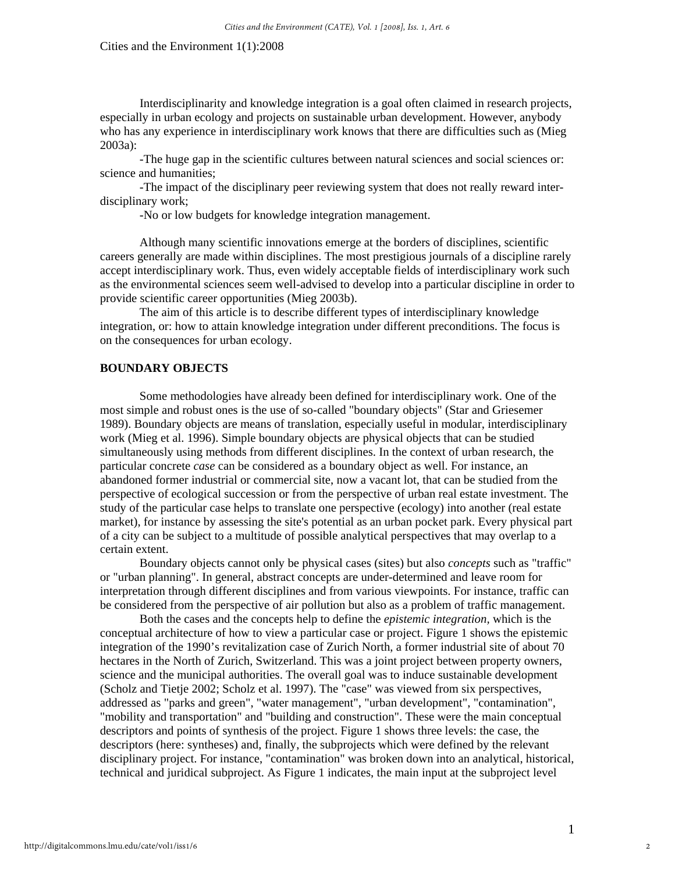Interdisciplinarity and knowledge integration is a goal often claimed in research projects, especially in urban ecology and projects on sustainable urban development. However, anybody who has any experience in interdisciplinary work knows that there are difficulties such as (Mieg 2003a):

 -The huge gap in the scientific cultures between natural sciences and social sciences or: science and humanities;

 -The impact of the disciplinary peer reviewing system that does not really reward interdisciplinary work;

-No or low budgets for knowledge integration management.

 Although many scientific innovations emerge at the borders of disciplines, scientific careers generally are made within disciplines. The most prestigious journals of a discipline rarely accept interdisciplinary work. Thus, even widely acceptable fields of interdisciplinary work such as the environmental sciences seem well-advised to develop into a particular discipline in order to provide scientific career opportunities (Mieg 2003b).

 The aim of this article is to describe different types of interdisciplinary knowledge integration, or: how to attain knowledge integration under different preconditions. The focus is on the consequences for urban ecology.

## **BOUNDARY OBJECTS**

 Some methodologies have already been defined for interdisciplinary work. One of the most simple and robust ones is the use of so-called "boundary objects" (Star and Griesemer 1989). Boundary objects are means of translation, especially useful in modular, interdisciplinary work (Mieg et al. 1996). Simple boundary objects are physical objects that can be studied simultaneously using methods from different disciplines. In the context of urban research, the particular concrete *case* can be considered as a boundary object as well. For instance, an abandoned former industrial or commercial site, now a vacant lot, that can be studied from the perspective of ecological succession or from the perspective of urban real estate investment. The study of the particular case helps to translate one perspective (ecology) into another (real estate market), for instance by assessing the site's potential as an urban pocket park. Every physical part of a city can be subject to a multitude of possible analytical perspectives that may overlap to a certain extent.

 Boundary objects cannot only be physical cases (sites) but also *concepts* such as "traffic" or "urban planning". In general, abstract concepts are under-determined and leave room for interpretation through different disciplines and from various viewpoints. For instance, traffic can be considered from the perspective of air pollution but also as a problem of traffic management.

 Both the cases and the concepts help to define the *epistemic integration,* which is the conceptual architecture of how to view a particular case or project. Figure 1 shows the epistemic integration of the 1990's revitalization case of Zurich North, a former industrial site of about 70 hectares in the North of Zurich, Switzerland. This was a joint project between property owners, science and the municipal authorities. The overall goal was to induce sustainable development (Scholz and Tietje 2002; Scholz et al. 1997). The "case" was viewed from six perspectives, addressed as "parks and green", "water management", "urban development", "contamination", "mobility and transportation" and "building and construction". These were the main conceptual descriptors and points of synthesis of the project. Figure 1 shows three levels: the case, the descriptors (here: syntheses) and, finally, the subprojects which were defined by the relevant disciplinary project. For instance, "contamination" was broken down into an analytical, historical, technical and juridical subproject. As Figure 1 indicates, the main input at the subproject level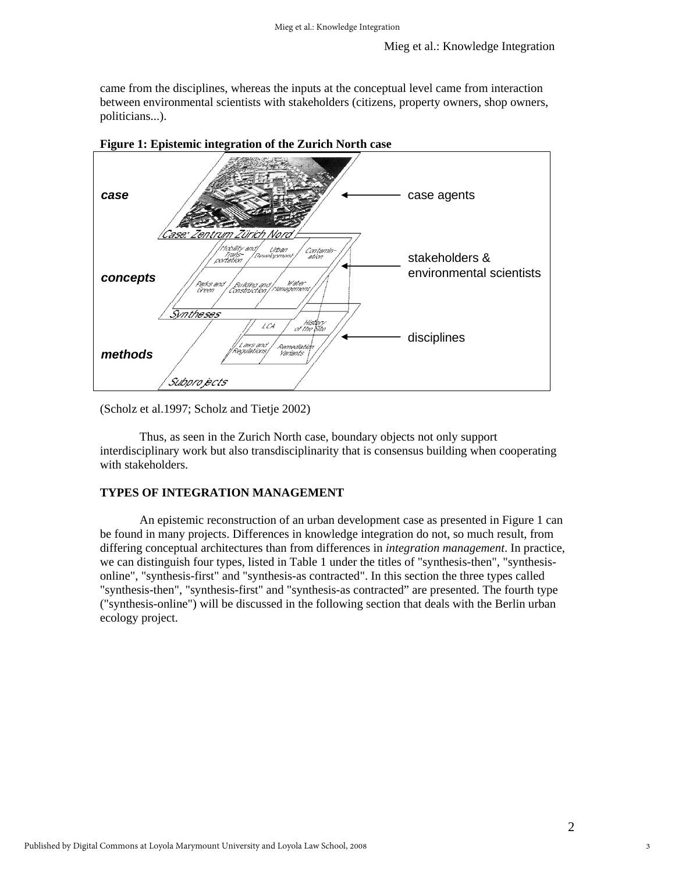came from the disciplines, whereas the inputs at the conceptual level came from interaction between environmental scientists with stakeholders (citizens, property owners, shop owners, politicians...).



**Figure 1: Epistemic integration of the Zurich North case**

(Scholz et al.1997; Scholz and Tietje 2002)

 Thus, as seen in the Zurich North case, boundary objects not only support interdisciplinary work but also transdisciplinarity that is consensus building when cooperating with stakeholders.

# **TYPES OF INTEGRATION MANAGEMENT**

 An epistemic reconstruction of an urban development case as presented in Figure 1 can be found in many projects. Differences in knowledge integration do not, so much result, from differing conceptual architectures than from differences in *integration management*. In practice, we can distinguish four types, listed in Table 1 under the titles of "synthesis-then", "synthesisonline", "synthesis-first" and "synthesis-as contracted". In this section the three types called "synthesis-then", "synthesis-first" and "synthesis-as contracted" are presented. The fourth type ("synthesis-online") will be discussed in the following section that deals with the Berlin urban ecology project.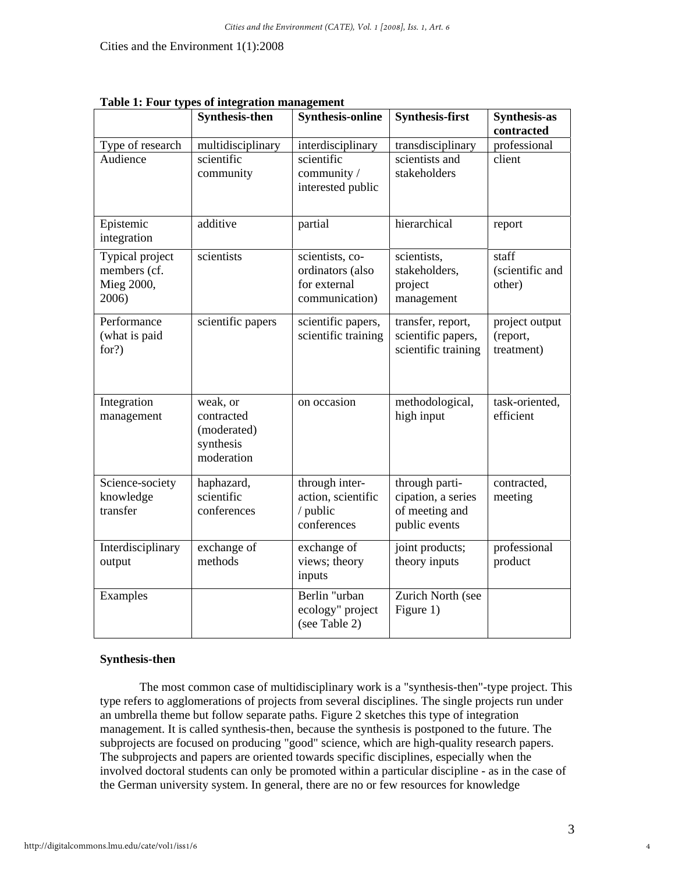|                                                        | Table 1: Four types of integration management                    |                                                                       |                                                                         |                                          |
|--------------------------------------------------------|------------------------------------------------------------------|-----------------------------------------------------------------------|-------------------------------------------------------------------------|------------------------------------------|
|                                                        | <b>Synthesis-then</b>                                            | <b>Synthesis-online</b>                                               | <b>Synthesis-first</b>                                                  | <b>Synthesis-as</b>                      |
|                                                        |                                                                  |                                                                       |                                                                         | contracted                               |
| Type of research                                       | multidisciplinary                                                | interdisciplinary                                                     | transdisciplinary                                                       | professional                             |
| Audience                                               | scientific<br>community                                          | scientific<br>community /<br>interested public                        | scientists and<br>stakeholders                                          | client                                   |
| Epistemic<br>integration                               | additive                                                         | partial                                                               | hierarchical                                                            | report                                   |
| Typical project<br>members (cf.<br>Mieg 2000,<br>2006) | scientists                                                       | scientists, co-<br>ordinators (also<br>for external<br>communication) | scientists,<br>stakeholders,<br>project<br>management                   | staff<br>(scientific and<br>other)       |
| Performance<br>(what is paid<br>for?)                  | scientific papers                                                | scientific papers,<br>scientific training                             | transfer, report,<br>scientific papers,<br>scientific training          | project output<br>(report,<br>treatment) |
| Integration<br>management                              | weak, or<br>contracted<br>(moderated)<br>synthesis<br>moderation | on occasion                                                           | methodological,<br>high input                                           | task-oriented,<br>efficient              |
| Science-society<br>knowledge<br>transfer               | haphazard,<br>scientific<br>conferences                          | through inter-<br>action, scientific<br>/ public<br>conferences       | through parti-<br>cipation, a series<br>of meeting and<br>public events | contracted,<br>meeting                   |
| Interdisciplinary<br>output                            | exchange of<br>methods                                           | exchange of<br>views; theory<br>inputs                                | joint products;<br>theory inputs                                        | professional<br>product                  |
| Examples                                               |                                                                  | Berlin "urban<br>ecology" project<br>(see Table 2)                    | Zurich North (see<br>Figure 1)                                          |                                          |

**Table 1: Four types of integration management** 

## **Synthesis-then**

 The most common case of multidisciplinary work is a "synthesis-then"-type project. This type refers to agglomerations of projects from several disciplines. The single projects run under an umbrella theme but follow separate paths. Figure 2 sketches this type of integration management. It is called synthesis-then, because the synthesis is postponed to the future. The subprojects are focused on producing "good" science, which are high-quality research papers. The subprojects and papers are oriented towards specific disciplines, especially when the involved doctoral students can only be promoted within a particular discipline - as in the case of the German university system. In general, there are no or few resources for knowledge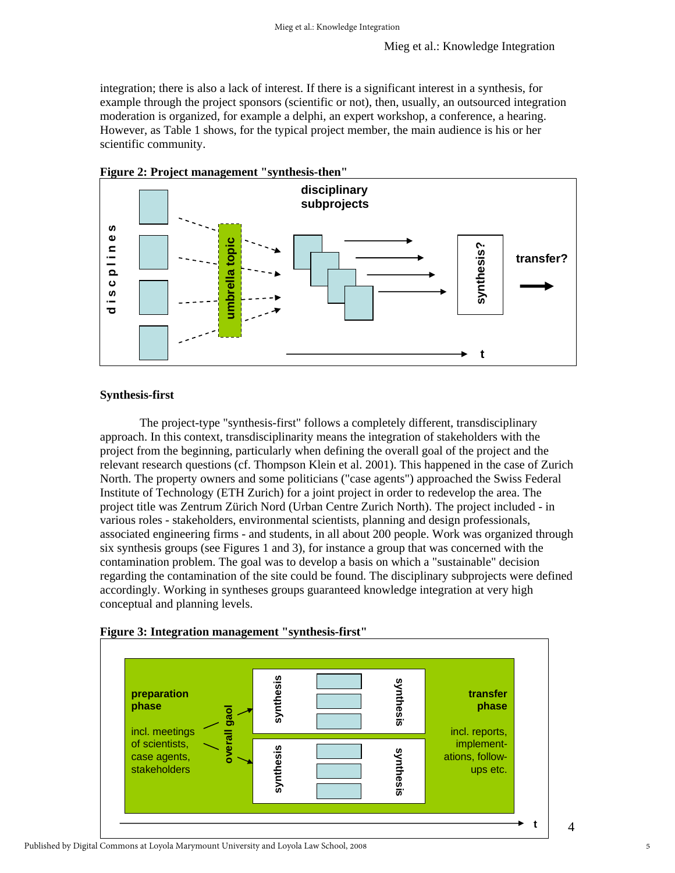integration; there is also a lack of interest. If there is a significant interest in a synthesis, for example through the project sponsors (scientific or not), then, usually, an outsourced integration moderation is organized, for example a delphi, an expert workshop, a conference, a hearing. However, as Table 1 shows, for the typical project member, the main audience is his or her scientific community.



# **Figure 2: Project management "synthesis-then"**

# **Synthesis-first**

The project-type "synthesis-first" follows a completely different, transdisciplinary approach. In this context, transdisciplinarity means the integration of stakeholders with the project from the beginning, particularly when defining the overall goal of the project and the relevant research questions (cf. Thompson Klein et al. 2001). This happened in the case of Zurich North. The property owners and some politicians ("case agents") approached the Swiss Federal Institute of Technology (ETH Zurich) for a joint project in order to redevelop the area. The project title was Zentrum Zürich Nord (Urban Centre Zurich North). The project included - in various roles - stakeholders, environmental scientists, planning and design professionals, associated engineering firms - and students, in all about 200 people. Work was organized through six synthesis groups (see Figures 1 and 3), for instance a group that was concerned with the contamination problem. The goal was to develop a basis on which a "sustainable" decision regarding the contamination of the site could be found. The disciplinary subprojects were defined accordingly. Working in syntheses groups guaranteed knowledge integration at very high conceptual and planning levels.





4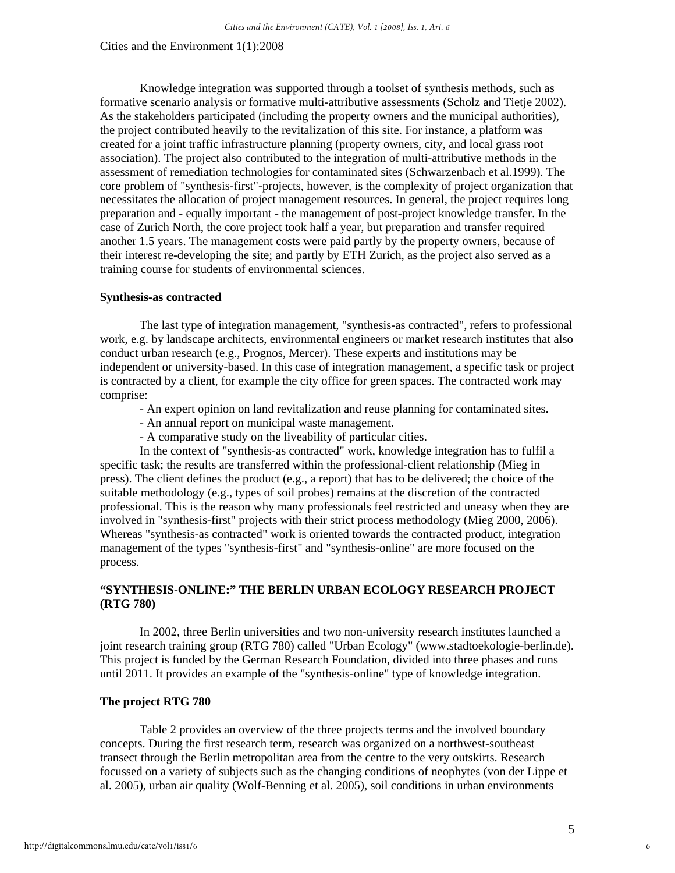Knowledge integration was supported through a toolset of synthesis methods, such as formative scenario analysis or formative multi-attributive assessments (Scholz and Tietje 2002). As the stakeholders participated (including the property owners and the municipal authorities), the project contributed heavily to the revitalization of this site. For instance, a platform was created for a joint traffic infrastructure planning (property owners, city, and local grass root association). The project also contributed to the integration of multi-attributive methods in the assessment of remediation technologies for contaminated sites (Schwarzenbach et al.1999). The core problem of "synthesis-first"-projects, however, is the complexity of project organization that necessitates the allocation of project management resources. In general, the project requires long preparation and - equally important - the management of post-project knowledge transfer. In the case of Zurich North, the core project took half a year, but preparation and transfer required another 1.5 years. The management costs were paid partly by the property owners, because of their interest re-developing the site; and partly by ETH Zurich, as the project also served as a training course for students of environmental sciences.

#### **Synthesis-as contracted**

 The last type of integration management, "synthesis-as contracted", refers to professional work, e.g. by landscape architects, environmental engineers or market research institutes that also conduct urban research (e.g., Prognos, Mercer). These experts and institutions may be independent or university-based. In this case of integration management, a specific task or project is contracted by a client, for example the city office for green spaces. The contracted work may comprise:

- An expert opinion on land revitalization and reuse planning for contaminated sites.
- An annual report on municipal waste management.
- A comparative study on the liveability of particular cities.

 In the context of "synthesis-as contracted" work, knowledge integration has to fulfil a specific task; the results are transferred within the professional-client relationship (Mieg in press). The client defines the product (e.g., a report) that has to be delivered; the choice of the suitable methodology (e.g., types of soil probes) remains at the discretion of the contracted professional. This is the reason why many professionals feel restricted and uneasy when they are involved in "synthesis-first" projects with their strict process methodology (Mieg 2000, 2006). Whereas "synthesis-as contracted" work is oriented towards the contracted product, integration management of the types "synthesis-first" and "synthesis-online" are more focused on the process.

# **"SYNTHESIS-ONLINE:" THE BERLIN URBAN ECOLOGY RESEARCH PROJECT (RTG 780)**

 In 2002, three Berlin universities and two non-university research institutes launched a joint research training group (RTG 780) called "Urban Ecology" (www.stadtoekologie-berlin.de). This project is funded by the German Research Foundation, divided into three phases and runs until 2011. It provides an example of the "synthesis-online" type of knowledge integration.

#### **The project RTG 780**

 Table 2 provides an overview of the three projects terms and the involved boundary concepts. During the first research term, research was organized on a northwest-southeast transect through the Berlin metropolitan area from the centre to the very outskirts. Research focussed on a variety of subjects such as the changing conditions of neophytes (von der Lippe et al. 2005), urban air quality (Wolf-Benning et al. 2005), soil conditions in urban environments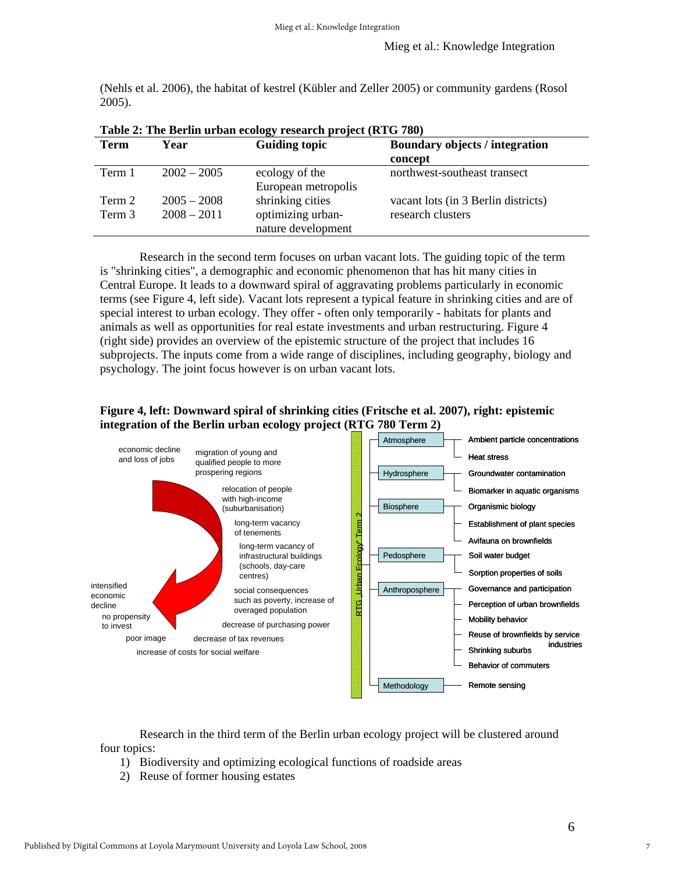(Nehls et al. 2006), the habitat of kestrel (Kübler and Zeller 2005) or community gardens (Rosol 2005).

| <b>Term</b> | Year          | <b>Guiding topic</b>                    | <b>Boundary objects / integration</b><br>concept |
|-------------|---------------|-----------------------------------------|--------------------------------------------------|
| Term 1      | $2002 - 2005$ | ecology of the<br>European metropolis   | northwest-southeast transect                     |
| Term 2      | $2005 - 2008$ | shrinking cities                        | vacant lots (in 3 Berlin districts)              |
| Term 3      | $2008 - 2011$ | optimizing urban-<br>nature development | research clusters                                |

**Table 2: The Berlin urban ecology research project (RTG 780)** 

 Research in the second term focuses on urban vacant lots. The guiding topic of the term is "shrinking cities", a demographic and economic phenomenon that has hit many cities in Central Europe. It leads to a downward spiral of aggravating problems particularly in economic terms (see Figure 4, left side). Vacant lots represent a typical feature in shrinking cities and are of special interest to urban ecology. They offer - often only temporarily - habitats for plants and animals as well as opportunities for real estate investments and urban restructuring. Figure 4 (right side) provides an overview of the epistemic structure of the project that includes 16 subprojects. The inputs come from a wide range of disciplines, including geography, biology and psychology. The joint focus however is on urban vacant lots.





 Research in the third term of the Berlin urban ecology project will be clustered around four topics:

- 1) Biodiversity and optimizing ecological functions of roadside areas
- 2) Reuse of former housing estates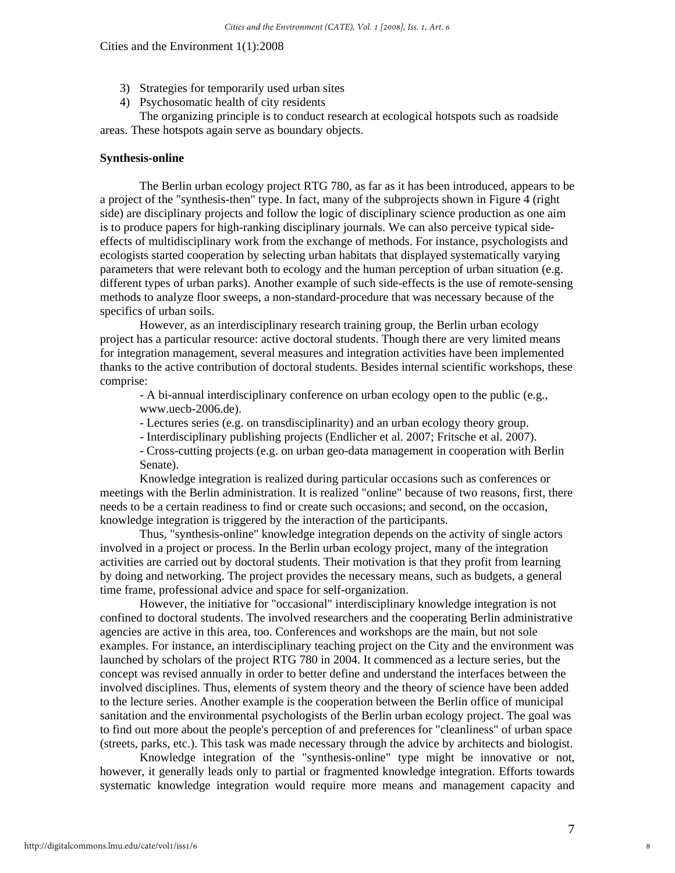- 3) Strategies for temporarily used urban sites
- 4) Psychosomatic health of city residents

 The organizing principle is to conduct research at ecological hotspots such as roadside areas. These hotspots again serve as boundary objects.

## **Synthesis-online**

 The Berlin urban ecology project RTG 780, as far as it has been introduced, appears to be a project of the "synthesis-then" type. In fact, many of the subprojects shown in Figure 4 (right side) are disciplinary projects and follow the logic of disciplinary science production as one aim is to produce papers for high-ranking disciplinary journals. We can also perceive typical sideeffects of multidisciplinary work from the exchange of methods. For instance, psychologists and ecologists started cooperation by selecting urban habitats that displayed systematically varying parameters that were relevant both to ecology and the human perception of urban situation (e.g. different types of urban parks). Another example of such side-effects is the use of remote-sensing methods to analyze floor sweeps, a non-standard-procedure that was necessary because of the specifics of urban soils.

 However, as an interdisciplinary research training group, the Berlin urban ecology project has a particular resource: active doctoral students. Though there are very limited means for integration management, several measures and integration activities have been implemented thanks to the active contribution of doctoral students. Besides internal scientific workshops, these comprise:

- A bi-annual interdisciplinary conference on urban ecology open to the public (e.g., www.uecb-2006.de).

- Lectures series (e.g. on transdisciplinarity) and an urban ecology theory group.

- Interdisciplinary publishing projects (Endlicher et al. 2007; Fritsche et al. 2007).

- Cross-cutting projects (e.g. on urban geo-data management in cooperation with Berlin Senate).

 Knowledge integration is realized during particular occasions such as conferences or meetings with the Berlin administration. It is realized "online" because of two reasons, first, there needs to be a certain readiness to find or create such occasions; and second, on the occasion, knowledge integration is triggered by the interaction of the participants.

 Thus, "synthesis-online" knowledge integration depends on the activity of single actors involved in a project or process. In the Berlin urban ecology project, many of the integration activities are carried out by doctoral students. Their motivation is that they profit from learning by doing and networking. The project provides the necessary means, such as budgets, a general time frame, professional advice and space for self-organization.

 However, the initiative for "occasional" interdisciplinary knowledge integration is not confined to doctoral students. The involved researchers and the cooperating Berlin administrative agencies are active in this area, too. Conferences and workshops are the main, but not sole examples. For instance, an interdisciplinary teaching project on the City and the environment was launched by scholars of the project RTG 780 in 2004. It commenced as a lecture series, but the concept was revised annually in order to better define and understand the interfaces between the involved disciplines. Thus, elements of system theory and the theory of science have been added to the lecture series. Another example is the cooperation between the Berlin office of municipal sanitation and the environmental psychologists of the Berlin urban ecology project. The goal was to find out more about the people's perception of and preferences for "cleanliness" of urban space (streets, parks, etc.). This task was made necessary through the advice by architects and biologist.

 Knowledge integration of the "synthesis-online" type might be innovative or not, however, it generally leads only to partial or fragmented knowledge integration. Efforts towards systematic knowledge integration would require more means and management capacity and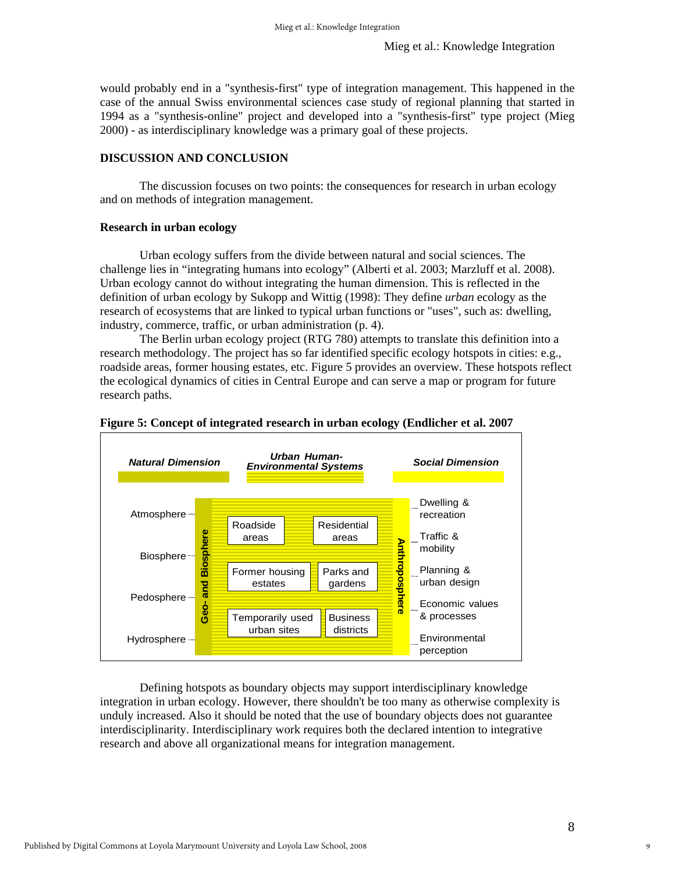would probably end in a "synthesis-first" type of integration management. This happened in the case of the annual Swiss environmental sciences case study of regional planning that started in 1994 as a "synthesis-online" project and developed into a "synthesis-first" type project (Mieg 2000) - as interdisciplinary knowledge was a primary goal of these projects.

# **DISCUSSION AND CONCLUSION**

 The discussion focuses on two points: the consequences for research in urban ecology and on methods of integration management.

## **Research in urban ecology**

 Urban ecology suffers from the divide between natural and social sciences. The challenge lies in "integrating humans into ecology" (Alberti et al. 2003; Marzluff et al. 2008). Urban ecology cannot do without integrating the human dimension. This is reflected in the definition of urban ecology by Sukopp and Wittig (1998): They define *urban* ecology as the research of ecosystems that are linked to typical urban functions or "uses", such as: dwelling, industry, commerce, traffic, or urban administration (p. 4).

 The Berlin urban ecology project (RTG 780) attempts to translate this definition into a research methodology. The project has so far identified specific ecology hotspots in cities: e.g., roadside areas, former housing estates, etc. Figure 5 provides an overview. These hotspots reflect the ecological dynamics of cities in Central Europe and can serve a map or program for future research paths.



#### **Figure 5: Concept of integrated research in urban ecology (Endlicher et al. 2007**

Defining hotspots as boundary objects may support interdisciplinary knowledge integration in urban ecology. However, there shouldn't be too many as otherwise complexity is unduly increased. Also it should be noted that the use of boundary objects does not guarantee interdisciplinarity. Interdisciplinary work requires both the declared intention to integrative research and above all organizational means for integration management.

9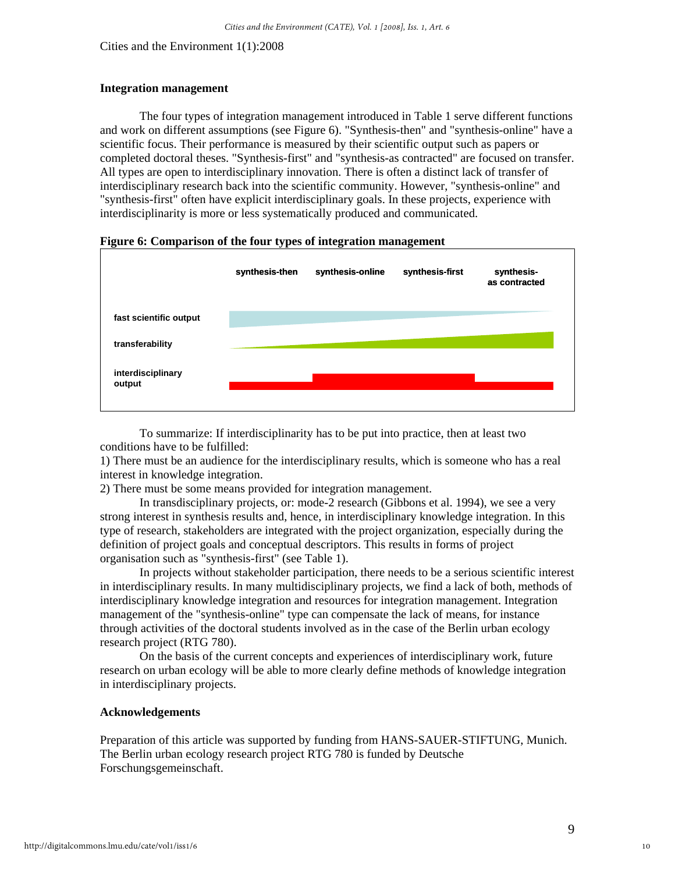#### **Integration management**

 The four types of integration management introduced in Table 1 serve different functions and work on different assumptions (see Figure 6). "Synthesis-then" and "synthesis-online" have a scientific focus. Their performance is measured by their scientific output such as papers or completed doctoral theses. "Synthesis-first" and "synthesis-as contracted" are focused on transfer. All types are open to interdisciplinary innovation. There is often a distinct lack of transfer of interdisciplinary research back into the scientific community. However, "synthesis-online" and "synthesis-first" often have explicit interdisciplinary goals. In these projects, experience with interdisciplinarity is more or less systematically produced and communicated.

#### **Figure 6: Comparison of the four types of integration management**



 To summarize: If interdisciplinarity has to be put into practice, then at least two conditions have to be fulfilled:

1) There must be an audience for the interdisciplinary results, which is someone who has a real interest in knowledge integration.

2) There must be some means provided for integration management.

 In transdisciplinary projects, or: mode-2 research (Gibbons et al. 1994), we see a very strong interest in synthesis results and, hence, in interdisciplinary knowledge integration. In this type of research, stakeholders are integrated with the project organization, especially during the definition of project goals and conceptual descriptors. This results in forms of project organisation such as "synthesis-first" (see Table 1).

 In projects without stakeholder participation, there needs to be a serious scientific interest in interdisciplinary results. In many multidisciplinary projects, we find a lack of both, methods of interdisciplinary knowledge integration and resources for integration management. Integration management of the "synthesis-online" type can compensate the lack of means, for instance through activities of the doctoral students involved as in the case of the Berlin urban ecology research project (RTG 780).

 On the basis of the current concepts and experiences of interdisciplinary work, future research on urban ecology will be able to more clearly define methods of knowledge integration in interdisciplinary projects.

### **Acknowledgements**

Preparation of this article was supported by funding from HANS-SAUER-STIFTUNG, Munich. The Berlin urban ecology research project RTG 780 is funded by Deutsche Forschungsgemeinschaft.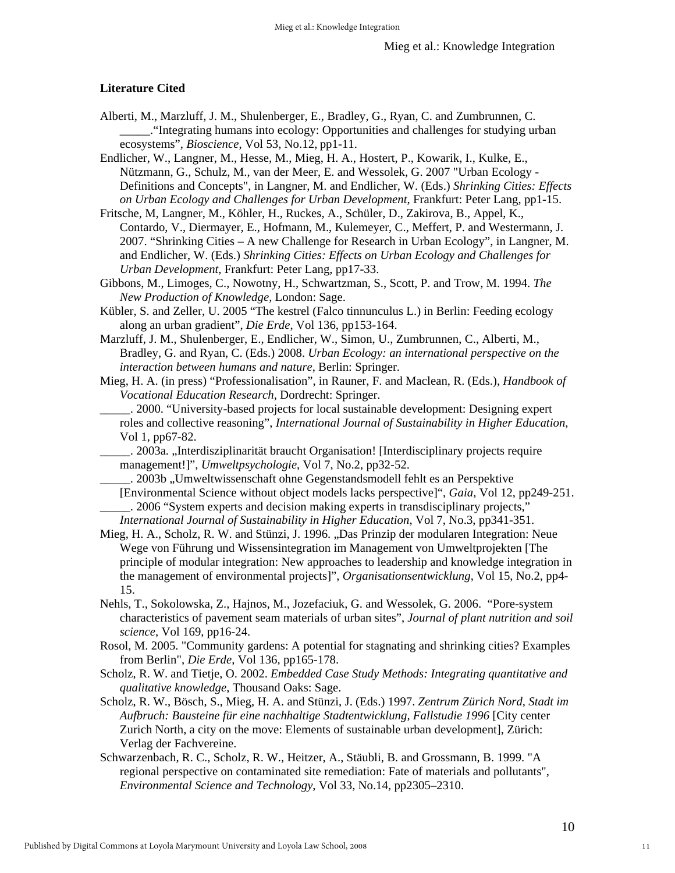# **Literature Cited**

- Alberti, M., Marzluff, J. M., Shulenberger, E., Bradley, G., Ryan, C. and Zumbrunnen, C. \_\_\_\_\_."Integrating humans into ecology: Opportunities and challenges for studying urban ecosystems", *Bioscience*, Vol 53, No.12, pp1-11.
- Endlicher, W., Langner, M., Hesse, M., Mieg, H. A., Hostert, P., Kowarik, I., Kulke, E., Nützmann, G., Schulz, M., van der Meer, E. and Wessolek, G. 2007 "Urban Ecology - Definitions and Concepts", in Langner, M. and Endlicher, W. (Eds.) *Shrinking Cities: Effects on Urban Ecology and Challenges for Urban Development*, Frankfurt: Peter Lang, pp1-15.
- Fritsche, M, Langner, M., Köhler, H., Ruckes, A., Schüler, D., Zakirova, B., Appel, K., Contardo, V., Diermayer, E., Hofmann, M., Kulemeyer, C., Meffert, P. and Westermann, J. 2007. "Shrinking Cities – A new Challenge for Research in Urban Ecology", in Langner, M. and Endlicher, W. (Eds.) *Shrinking Cities: Effects on Urban Ecology and Challenges for Urban Development,* Frankfurt: Peter Lang, pp17-33.
- Gibbons, M., Limoges, C., Nowotny, H., Schwartzman, S., Scott, P. and Trow, M. 1994. *The New Production of Knowledge,* London: Sage.
- Kübler, S. and Zeller, U. 2005 "The kestrel (Falco tinnunculus L.) in Berlin: Feeding ecology along an urban gradient", *Die Erde*, Vol 136, pp153-164.
- Marzluff, J. M., Shulenberger, E., Endlicher, W., Simon, U., Zumbrunnen, C., Alberti, M., Bradley, G. and Ryan, C. (Eds.) 2008. *Urban Ecology: an international perspective on the interaction between humans and nature*, Berlin: Springer.
- Mieg, H. A. (in press) "Professionalisation", in Rauner, F. and Maclean, R. (Eds.), *Handbook of Vocational Education Research,* Dordrecht: Springer.
	- \_\_\_\_\_. 2000. "University-based projects for local sustainable development: Designing expert roles and collective reasoning", *International Journal of Sustainability in Higher Education*, Vol 1, pp67-82.
		- \_\_\_\_\_. 2003a. "Interdisziplinarität braucht Organisation! [Interdisciplinary projects require management!]", *Umweltpsychologie*, Vol 7, No.2, pp32-52.
	- \_\_\_\_\_. 2003b "Umweltwissenschaft ohne Gegenstandsmodell fehlt es an Perspektive [Environmental Science without object models lacks perspective]", *Gaia*, Vol 12, pp249-251. \_\_\_\_\_. 2006 "System experts and decision making experts in transdisciplinary projects," *International Journal of Sustainability in Higher Education*, Vol 7, No.3, pp341-351.
- Mieg, H. A., Scholz, R. W. and Stünzi, J. 1996. "Das Prinzip der modularen Integration: Neue Wege von Führung und Wissensintegration im Management von Umweltprojekten [The principle of modular integration: New approaches to leadership and knowledge integration in the management of environmental projects]", *Organisationsentwicklung*, Vol 15, No.2, pp4- 15.
- Nehls, T., Sokolowska, Z., Hajnos, M., Jozefaciuk, G. and Wessolek, G. 2006. "Pore-system characteristics of pavement seam materials of urban sites", *Journal of plant nutrition and soil science*, Vol 169, pp16-24.
- Rosol, M. 2005. "Community gardens: A potential for stagnating and shrinking cities? Examples from Berlin", *Die Erde*, Vol 136, pp165-178.
- Scholz, R. W. and Tietje, O. 2002. *Embedded Case Study Methods: Integrating quantitative and qualitative knowledge*, Thousand Oaks: Sage.
- Scholz, R. W., Bösch, S., Mieg, H. A. and Stünzi, J. (Eds.) 1997. *Zentrum Zürich Nord, Stadt im Aufbruch: Bausteine für eine nachhaltige Stadtentwicklung, Fallstudie 1996* [City center Zurich North, a city on the move: Elements of sustainable urban development], Zürich: Verlag der Fachvereine.
- Schwarzenbach, R. C., Scholz, R. W., Heitzer, A., Stäubli, B. and Grossmann, B. 1999. "A regional perspective on contaminated site remediation: Fate of materials and pollutants", *Environmental Science and Technology*, Vol 33, No.14, pp2305–2310.